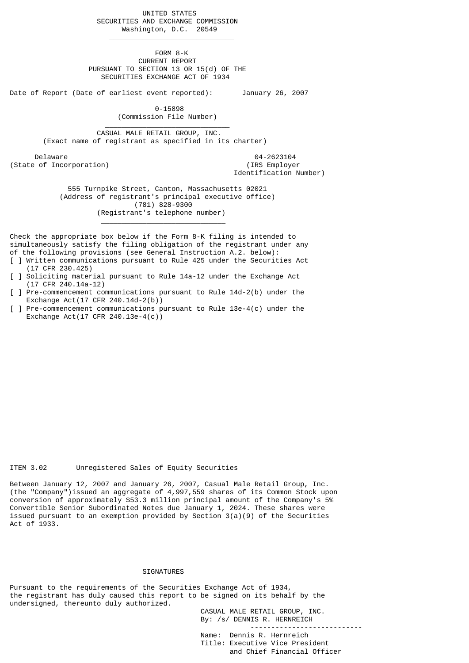UNITED STATES SECURITIES AND EXCHANGE COMMISSION Washington, D.C. 20549

 FORM 8-K CURRENT REPORT PURSUANT TO SECTION 13 OR 15(d) OF THE SECURITIES EXCHANGE ACT OF 1934

Date of Report (Date of earliest event reported): January 26, 2007

 $\frac{1}{2}$  , and the set of the set of the set of the set of the set of the set of the set of the set of the set of the set of the set of the set of the set of the set of the set of the set of the set of the set of the set

 $\frac{1}{2}$  , and the set of the set of the set of the set of the set of the set of the set of the set of the set of the set of the set of the set of the set of the set of the set of the set of the set of the set of the set

 0-15898 (Commission File Number)

 $\mathcal{L}_\text{max}$  and  $\mathcal{L}_\text{max}$  and  $\mathcal{L}_\text{max}$  and  $\mathcal{L}_\text{max}$  and  $\mathcal{L}_\text{max}$  CASUAL MALE RETAIL GROUP, INC. (Exact name of registrant as specified in its charter)

 Delaware 04-2623104 (State of Incorporation) (IRS Employer

Identification Number)

 555 Turnpike Street, Canton, Massachusetts 02021 (Address of registrant's principal executive office) (781) 828-9300 (Registrant's telephone number)

Check the appropriate box below if the Form 8-K filing is intended to simultaneously satisfy the filing obligation of the registrant under any of the following provisions (see General Instruction A.2. below):

- [ ] Written communications pursuant to Rule 425 under the Securities Act (17 CFR 230.425)
- [ ] Soliciting material pursuant to Rule 14a-12 under the Exchange Act (17 CFR 240.14a-12)
- [ ] Pre-commencement communications pursuant to Rule 14d-2(b) under the Exchange Act(17 CFR 240.14d-2(b))
- [ ] Pre-commencement communications pursuant to Rule 13e-4(c) under the Exchange Act(17 CFR 240.13e-4(c))

## ITEM 3.02 Unregistered Sales of Equity Securities

Between January 12, 2007 and January 26, 2007, Casual Male Retail Group, Inc. (the "Company")issued an aggregate of 4,997,559 shares of its Common Stock upon conversion of approximately \$53.3 million principal amount of the Company's 5% Convertible Senior Subordinated Notes due January 1, 2024. These shares were issued pursuant to an exemption provided by Section 3(a)(9) of the Securities Act of 1933.

## SIGNATURES

Pursuant to the requirements of the Securities Exchange Act of 1934, the registrant has duly caused this report to be signed on its behalf by the undersigned, thereunto duly authorized.

> CASUAL MALE RETAIL GROUP, INC. By: /s/ DENNIS R. HERNREICH

 --------------------------- Name: Dennis R. Hernreich

 Title: Executive Vice President and Chief Financial Officer